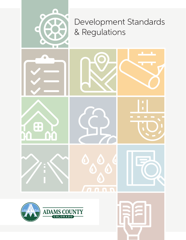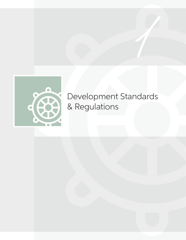

# Development Standards & Regulations

**1**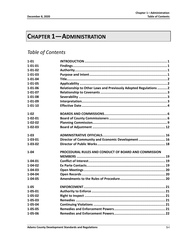## **CHAPTER 1-ADMINISTRATION**

## **Table of Contents**

| $1 - 01$      |                                                                 |  |
|---------------|-----------------------------------------------------------------|--|
| $1 - 01 - 01$ |                                                                 |  |
| $1 - 01 - 02$ |                                                                 |  |
| $1 - 01 - 03$ |                                                                 |  |
| $1 - 01 - 04$ |                                                                 |  |
| $1 - 01 - 05$ |                                                                 |  |
| $1 - 01 - 06$ | Relationship to Other Laws and Previously Adopted Regulations 2 |  |
| $1 - 01 - 07$ |                                                                 |  |
| $1 - 01 - 08$ |                                                                 |  |
| $1 - 01 - 09$ |                                                                 |  |
| $1 - 01 - 10$ |                                                                 |  |
| $1 - 02$      |                                                                 |  |
| $1 - 02 - 01$ |                                                                 |  |
| $1 - 02 - 02$ |                                                                 |  |
| $1 - 02 - 03$ |                                                                 |  |
| $1 - 03$      |                                                                 |  |
| $1 - 03 - 01$ | Director of Community and Economic Development  16              |  |
| $1 - 03 - 02$ |                                                                 |  |
| $1 - 04$      | PROCEDURAL RULES AND CONDUCT OF BOARD AND COMMISSION            |  |
|               |                                                                 |  |
| $1 - 04 - 01$ |                                                                 |  |
| $1 - 04 - 02$ |                                                                 |  |
| $1 - 04 - 03$ |                                                                 |  |
| $1 - 04 - 04$ |                                                                 |  |
| $1 - 04 - 05$ |                                                                 |  |
| $1 - 05$      |                                                                 |  |
| $1 - 05 - 01$ |                                                                 |  |
| $1 - 05 - 02$ |                                                                 |  |
| $1 - 05 - 03$ |                                                                 |  |
| $1 - 05 - 04$ |                                                                 |  |
| $1 - 05 - 05$ |                                                                 |  |
| $1 - 05 - 06$ |                                                                 |  |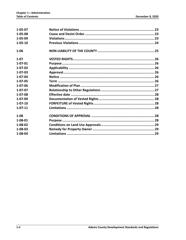| 1-05-07       |  |
|---------------|--|
| $1 - 05 - 08$ |  |
| $1 - 05 - 09$ |  |
| $1 - 05 - 10$ |  |
| $1 - 06$      |  |
| $1-07$        |  |
| $1 - 07 - 01$ |  |
| $1 - 07 - 02$ |  |
| $1 - 07 - 03$ |  |
| 1-07-04       |  |
| 1-07-05       |  |
| $1 - 07 - 06$ |  |
| 1-07-07       |  |
| 1-07-08       |  |
| 1-07-09       |  |
| $1 - 07 - 10$ |  |
| $1 - 07 - 11$ |  |
| $1 - 08$      |  |
| $1 - 08 - 01$ |  |
| $1 - 08 - 02$ |  |
| $1 - 08 - 03$ |  |
| 1-08-04       |  |
|               |  |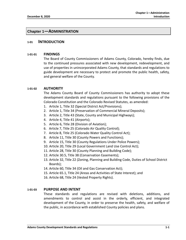## **Chapter 1—ADMINISTRATION**

## **1-01 INTRODUCTION**

## **1-01-01 FINDINGS**

The Board of County Commissioners of Adams County, Colorado, hereby finds, due to the continued pressures associated with new development, redevelopment, and use of properties in unincorporated Adams County, that standards and regulations to guide development are necessary to protect and promote the public health, safety, and general welfare of the County.

## **1-01-02 AUTHORITY**

The Adams County Board of County Commissioners has authority to adopt these development standards and regulations pursuant to the following provisions of the Colorado Constitution and the Colorado Revised Statutes, as amended:

- 1. Article 1, Title 32 (Special District Act/Provisions);
- 2. Article 1, Title 34 (Preservation of Commercial Mineral Deposits);
- 3. Article 2, Title 43 (State, County and Municipal Highways);
- 4. Article 4, Title 41 (Airports);
- 5. Article 6, Title 28 (Division of Aviation);
- 6. Article 7, Title 25 (Colorado Air Quality Control);
- 7. Article 8, Title 25 (Colorado Water Quality Control Act);
- 8. Article 11, Title 30 (County Powers and Functions);
- 9. Article 15, Title 30 (County Regulations Under Police Powers);
- 10. Article 20, Title 29 (Local Government Land Use Control Act);
- 11. Article 28, Title 30 (County Planning and Building Code);
- 12. Article 30.5, Title 38 (Conservation Easements);
- 13. Article 32, Title 22 (Zoning, Planning and Building Code, Duties of School District Boards);
- 14. Article 60, Title 34 (Oil and Gas Conservation Act);
- 15. Article 65.1, Title 24 (Areas and Activities of State Interest); and
- 16. Article 68, Title 24 (Vested Property Rights).

## **1-01-03 PURPOSE AND INTENT**

These standards and regulations are revised with deletions, additions, and amendments to control and assist in the orderly, efficient, and integrated development of the County, in order to preserve the health, safety, and welfare of the public, in accordance with established County policies and plans.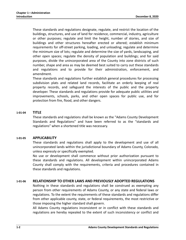These standards and regulations designate, regulate, and restrict the location of the buildings, structures, and use of land for residence, commercial, industry, agriculture or other purposes; regulate and limit the height, number of stories, and size of buildings and other structures hereafter erected or altered; establish minimum requirements for off-street parking, loading, and unloading; regulate and determine the minimum size of lots; regulate and determine the size of yards, landscaping, and other open spaces; regulate the density of population and buildings; and for said purposes, divide the unincorporated area of the County into zone districts of such number, shape and area as may be deemed best suited to carry out these standards and regulations and to provide for their administration, enforcement, and amendment.

These standards and regulations further establish general procedures for processing subdivision plats and related land records, facilitate an orderly keeping of real property records, and safeguard the interests of the public and the property developer. These standards and regulations provide for adequate public utilities and improvements, schools, parks, and other open spaces for public use, and for protection from fire, flood, and other dangers.

## **1-01-04 TITLE**

These standards and regulations shall be known as the "Adams County Development Standards and Regulations" and have been referred to as the "standards and regulations" when a shortened title was necessary.

## **1-01-05 APPLICABILITY**

These standards and regulations shall apply to the development and use of all unincorporated lands within the jurisdictional boundary of Adams County, Colorado, unless expressly or specifically exempted.

No use or development shall commence without prior authorization pursuant to these standards and regulations. All development within unincorporated Adams County shall comply with the requirements, criteria and procedures contained in these standards and regulations.

## **1-01-06 RELATIONSHIP TO OTHER LAWS AND PREVIOUSLY ADOPTED REGULATIONS**

Nothing in these standards and regulations shall be construed as exempting any person from other requirements of Adams County, or any state and federal laws or regulations. To the extent the requirements of these standards and regulations differ from other applicable county, state, or federal requirements, the most restrictive or those imposing the higher standard shall govern.

All Adams County regulations inconsistent or in conflict with these standards and regulations are hereby repealed to the extent of such inconsistency or conflict and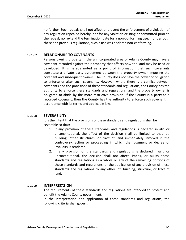no further. Such repeals shall not affect or prevent the enforcement of a violation of any regulation repealed hereby; nor for any violation existing or committed prior to the repeal; nor extend the termination date for a non-conforming use, if under both these and previous regulations, such a use was declared non-conforming.

## **1-01-07 RELATIONSHIP TO COVENANTS**

Persons owning property in the unincorporated area of Adams County may have a covenant recorded against their property that affects how the land may be used or developed. It is hereby noted as a point of information that such covenants constitute a private party agreement between the property owner imposing the covenant and subsequent owners. The County does not have the power or obligation to enforce or alter such covenants. However, where there is a conflict between covenants and the provisions of these standards and regulations, the County has the authority to enforce these standards and regulations, and the property owner is obligated to abide by the more restrictive provision. If the County is a party to a recorded covenant, then the County has the authority to enforce such covenant in accordance with its terms and applicable law.

## **1-01-08 SEVERABILITY**

It is the intent that the provisions of these standards and regulations shall be severable so that:

- 1. If any provision of these standards and regulations is declared invalid or unconstitutional, the effect of the decision shall be limited to that lot, building, other structures, or tract of land immediately involved in the controversy, action or proceeding in which the judgment or decree of invalidity is rendered.
- 2. If any provision of the standards and regulations is declared invalid or unconstitutional, the decision shall not affect, impair, or nullify these standards and regulations as a whole or any of the remaining portions of these standards and regulations, or the application of any provision of these standards and regulations to any other lot, building, structure, or tract of land.

## **1-01-09 INTERPRETATION**

The requirements of these standards and regulations are intended to protect and benefit the Adams County government.

In the interpretation and application of these standards and regulations, the following criteria shall govern: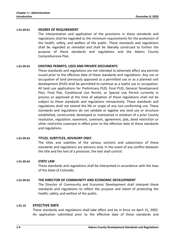## **1-01-09-01 DEGREE OF REQUIREMENT**

The interpretation and application of the provisions in these standards and regulations shall be regarded as the minimum requirements for the protection of the health, safety, and welfare of the public. These standards and regulations shall be regarded as remedial and shall be liberally construed to further the purpose of these standards and regulations and the Adams County Comprehensive Plan.

## **1-01-09-02 EXISTING PERMITS, USES AND PRIVATE DOCUMENTS**

These standards and regulations are not intended to adversely affect any permits issued prior to the effective date of these standards and regulations. Any use or occupation of land previously approved as a permitted use or as a planned unit development (PUD) shall be permitted to continue as a lawful use or occupation. All land use applications for Preliminary PUD, Final PUD, General Development Plan, Final Plat, Conditional Use Permit, or Special Use Permit currently in process or approved at the time of adoption of these regulations shall not be subject to these standards and regulations retroactively. These standards and regulations shall not extend the life or scope of any non-conforming use. These standards and regulations do not validate or legalize any land use or structure established, constructed, developed or maintained in violation of a prior County resolution, regulation, easement, covenant, agreement, plat, deed restriction or other restrictive covenant in effect prior to the effective date of these standards and regulations.

## **1-01-09-03 TITLES, SUBTITLES, ADVISORY ONLY**

The titles and subtitles of the various sections and subsections of these standards and regulations are advisory only. In the event of any conflict between the title and the text of a provision, the text shall control.

## **1-01-09-04 STATE LAW**

These standards and regulations shall be interpreted in accordance with the laws of the State of Colorado.

## **1-01-09-05 THE DIRECTOR OF COMMUNITY AND ECONOMIC DEVELOPMENT**

The Director of Community and Economic Development shall interpret these standards and regulations to reflect the purpose and intent of protecting the health, safety, and welfare of the public.

## **1-01-10 EFFECTIVE DATE**

These standards and regulations shall take effect and be in force on April 15, 2002. An application submitted prior to the effective date of these standards and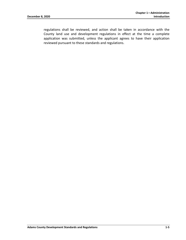regulations shall be reviewed, and action shall be taken in accordance with the County land use and development regulations in effect at the time a complete application was submitted, unless the applicant agrees to have their application reviewed pursuant to these standards and regulations.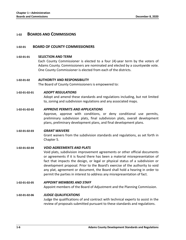## **1-02 BOARDS AND COMMISSIONS**

## **1-02-01 BOARD OF COUNTY COMMISSIONERS**

## **1-02-01-01 SELECTION AND TERM**

Each County Commissioner is elected to a four (4)-year term by the voters of Adams County. Commissioners are nominated and elected by a countywide vote. One County Commissioner is elected from each of the districts.

## **1-02-01-02 AUTHORITY AND RESPONSIBILITY**

The Board of County Commissioners is empowered to:

## **1-02-01-02-01** *ADOPT REGULATIONS*

Adopt and amend these standards and regulations including, but not limited to, zoning and subdivision regulations and any associated maps.

## **1-02-01-02-02** *APPROVE PERMITS AND APPLICATIONS*

Approve, approve with conditions, or deny conditional use permits, preliminary subdivision plats, final subdivision plats, overall development plans, preliminary development plans, and final development plans.

## **1-02-01-02-03** *GRANT WAIVERS*

Grant waivers from the subdivision standards and regulations, as set forth in Chapter 5.

## **1-02-01-02-04** *VOID AGREEMENTS AND PLATS*

Void plats, subdivision improvement agreements or other official documents or agreements if it is found there has been a material misrepresentation of fact that impacts the design, or legal or physical status of a subdivision or development proposal. Prior to the Board's exercise of the authority to void any plat, agreement or document, the Board shall hold a hearing in order to permit the parties in interest to address any misrepresentation of fact.

#### **1-02-01-02-05** *APPOINT MEMBERS AND STAFF*

Appoint members of the Board of Adjustment and the Planning Commission.

## **1-02-01-02-06** *JUDGE QUALIFICATIONS*

Judge the qualifications of and contract with technical experts to assist in the review of proposals submitted pursuant to these standards and regulations.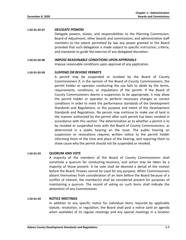### **1-02-01-02-07** *DELEGATE POWERS*

Delegate powers, duties, and responsibilities to the Planning Commission, Board of Adjustment, other boards and commissions, and administrative staff members to the extent permitted by law any power granted to the Board provided that such delegation is made subject to specific instruction, criteria, and standards to guide the exercise of any delegated discretion.

## **1-02-01-02-08** *IMPOSE REASONABLE CONDITIONS UPON APPROVALS*

Impose reasonable conditions upon approval of any application.

### **1-02-01-02-09** *SUSPEND OR REVOKE PERMITS*

A permit may be suspended or revoked by the Board of County Commissioners if, in the opinion of the Board of County Commissioners, the permit holder or operator conducting the use fails to abide by the terms, requirements, conditions, or stipulations of the permit. If the Board of County Commissioners deems a suspension to be appropriate, it may allow the permit holder or operator to perform necessary changes or correct conditions in order to meet the performance standards of the Development Standards and Regulations, or the purpose and intent of the Development Standards and Regulations. No person may continue to make use of land in the manner authorized by the permit after such permit has been revoked in accordance with this section. The determination as to whether a permit is to be revoked or suspended rests with the Board of County Commissioners, as determined in a public hearing on the issue. The public hearing on suspension or revocations requires written notice to the permit holder informing them of the time and place of the hearing, and requiring them to show cause why the permit should not be suspended or revoked.

#### **1-02-01-03 QUORUM AND VOTE**

A majority of the members of the Board of County Commissioners shall constitute a quorum for conducting business, and action may be taken by a majority of those present. A tie vote shall be deemed a denial of the motion before the Board. Proxies cannot be used for any purpose. When Commissioners absent themselves from consideration of an item before the Board because of a conflict of interest, the member(s) shall be considered present for purposes of maintaining a quorum. The record of voting on such items shall indicate the abstention of any Commissioner.

## **1-02-01-04 NOTICE MEETINGS**

In addition to any specific notice for individual items required by applicable statute, resolution, or regulation, the Board shall post a notice (and an agenda when available) of its regular meetings and any special meetings in a location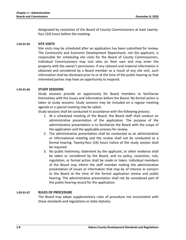designated by resolution of the Board of County Commissioners at least twentyfour (24) hours before the meeting.

## **1-02-01-05 SITE VISITS**

Site visits may be scheduled after an application has been submitted for review. The Community and Economic Development Department, not the applicant, is responsible for scheduling site visits for the Board of County Commissioners. Individual Commissioners may visit sites on their own and may enter the property with the owner's permission. If any relevant and material information is obtained and considered by a Board member as a result of any site visit, such information shall be disclosed prior to or at the time of the public hearing so that interested parties may have an opportunity to respond.

## **1-02-01-06 STUDY SESSIONS**

Study sessions provide an opportunity for Board members to familiarize themselves with the issues and information before the Board. No formal action is taken at study sessions. Study sessions may be included on a regular meeting agenda or a special meeting may be called.

Study sessions shall be conducted in accordance with the following process:

- 1. At a scheduled meeting of the Board, the Board staff shall conduct an administrative presentation of the application. The purpose of the administrative presentation is to familiarize the Board with the scope of the application and the applicable process for review.
- 2. The administrative presentation shall be conducted as an administrative or informational meeting and the review shall not be conducted as a formal hearing. Twenty-four (24) hours notice of the study session shall be required.
- 3. No public testimony, statement by the applicant, or other evidence shall be taken or considered by the Board, and no policy, resolution, rule, regulation, or formal action shall be made or taken. Individual members of the Board may inform the staff member making the administrative presentation of issues or information that may be of interest or concern to the Board at the time of the formal application review and public hearing. The administrative presentation shall not be considered part of the public hearing record for the application.

## **1-02-01-07 RULES OF PROCEDURE**

The Board may adopt supplementary rules of procedure not inconsistent with these standards and regulations or state statutes.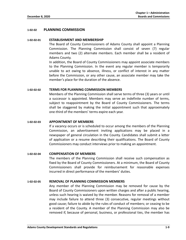## **1-02-02 PLANNING COMMISSION**

## **1-02-02-01 ESTABLISHMENT AND MEMBERSHIP**

The Board of County Commissioners of Adams County shall appoint a Planning Commission. The Planning Commission shall consist of seven (7) regular members and two (2) alternate members. Each member shall be a resident of Adams County.

In addition, the Board of County Commissioners may appoint associate members to the Planning Commission. In the event any regular member is temporarily unable to act owing to absence, illness, or conflict of interest in any matter before the Commission, or any other cause, an associate member may take the member's place for the duration of the absence.

## **1-02-02-02 TERMS FOR PLANNING COMMISSION MEMBERS**

Members of the Planning Commission shall serve terms of three (3) years or until a successor is appointed. Members may serve an indefinite number of terms, subject to reappointment by the Board of County Commissioners. The terms shall be staggered by making the initial appointment such that approximately one-third of the members' terms expire each year.

#### **1-02-02-03 APPOINTMENT OF MEMBERS**

If a vacancy occurs or is scheduled to occur among the members of the Planning Commission, an advertisement inviting applications may be placed in a newspaper of general circulation in the County. Candidates shall submit a letter of application or a resume describing their qualifications. The Board of County Commissioners may conduct interviews prior to making an appointment.

## **1-02-02-04 COMPENSATION OF MEMBERS**

The members of the Planning Commission shall receive such compensation as fixed by the Board of County Commissioners. At a minimum, the Board of County Commissioners shall provide for reimbursement for reasonable expenses incurred in direct performance of the members' duties.

## **1-02-02-05 REMOVAL OF PLANNING COMMISSION MEMBERS**

Any member of the Planning Commission may be removed for cause by the Board of County Commissioners upon written charges and after a public hearing, unless such hearing is waived by the member. Reasons for removal of a member may include failure to attend three (3) consecutive, regular meetings without good cause; failure to abide by the rules of conduct of members; or ceasing to be a resident of the County. A member of the Planning Commission may also be removed if, because of personal, business, or professional ties, the member has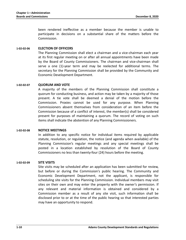been rendered ineffective as a member because the member is unable to participate in decisions on a substantial share of the matters before the Commission.

## **1-02-02-06 ELECTION OF OFFICERS**

The Planning Commission shall elect a chairman and a vice-chairman each year at its first regular meeting on or after all annual appointments have been made by the Board of County Commissioners. The chairman and vice-chairman shall serve a one (1)-year term and may be reelected for additional terms. The secretary for the Planning Commission shall be provided by the Community and Economic Development Department.

## **1-02-02-07 QUORUM AND VOTE**

A majority of the members of the Planning Commission shall constitute a quorum for conducting business, and action may be taken by a majority of those present. A tie vote shall be deemed a denial of the motion before the Commission. Proxies cannot be used for any purpose. When Planning Commissioners absent themselves from consideration of an item before the Commission because of a conflict of interest, the member(s) shall be considered present for purposes of maintaining a quorum. The record of voting on such items shall indicate the abstention of any Planning Commissioners.

## **1-02-02-08 NOTICE MEETINGS**

In addition to any specific notice for individual items required by applicable statute, resolution, or regulation, the notice (and agenda when available) of the Planning Commission's regular meetings and any special meetings shall be posted in a location established by resolution of the Board of County Commissioners no less than twenty-four (24) hours before the meeting.

## **1-02-02-09 SITE VISITS**

Site visits may be scheduled after an application has been submitted for review, but before or during the Commission's public hearing. The Community and Economic Development Department, not the applicant, is responsible for scheduling site visits for the Planning Commission. Individual members may visit sites on their own and may enter the property with the owner's permission. If any relevant and material information is obtained and considered by a Commission member as a result of any site visit, such information shall be disclosed prior to or at the time of the public hearing so that interested parties may have an opportunity to respond.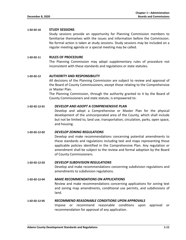## **1-02-02-10 STUDY SESSIONS**

Study sessions provide an opportunity for Planning Commission members to familiarize themselves with the issues and information before the Commission. No formal action is taken at study sessions. Study sessions may be included on a regular meeting agenda or a special meeting may be called.

## **1-02-02-11 RULES OF PROCEDURE**

The Planning Commission may adopt supplementary rules of procedure not inconsistent with these standards and regulations or state statutes.

### **1-02-02-12 AUTHORITY AND RESPONSIBILITY**

All decisions of the Planning Commission are subject to review and approval of the Board of County Commissioners, except those relating to the Comprehensive or Master Plan.

The Planning Commission, through the authority granted to it by the Board of County Commissioners and state statute, is empowered to:

### **1-02-02-12-01** *DEVELOP AND ADOPT A COMPREHENSIVE PLAN*

Develop and adopt a Comprehensive or Master Plan for the physical development of the unincorporated area of the County, which shall include but not be limited to, land use, transportation, circulation, parks, open space, and housing.

## **1-02-02-12-02** *DEVELOP ZONING REGULATIONS*

Develop and make recommendations concerning potential amendments to these standards and regulations including text and maps representing those applicable policies identified in the Comprehensive Plan. Any regulation or amendment shall be subject to the review and formal adoption by the Board of County Commissioners.

## **1-02-02-12-03** *DEVELOP SUBDIVISION REGULATIONS*

Develop and make recommendations concerning subdivision regulations and amendments to subdivision regulations.

## **1-02-02-12-04** *MAKE RECOMMENDATIONS ON APPLICATIONS*

Review and make recommendations concerning applications for zoning text and zoning map amendments, conditional use permits, and subdivisions of land.

## **1-02-02-12-05** *RECOMMEND REASONABLE CONDITIONS UPON APPROVALS*

Impose or recommend reasonable conditions upon approval or recommendation for approval of any application.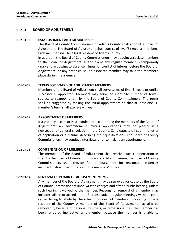## **1-02-03 BOARD OF ADJUSTMENT**

#### **1-02-03-01 ESTABLISHMENT AND MEMBERSHIP**

The Board of County Commissioners of Adams County shall appoint a Board of Adjustment. The Board of Adjustment shall consist of five (5) regular members. Each member shall be a legal resident of Adams County.

In addition, the Board of County Commissioners may appoint associate members to the Board of Adjustment. In the event any regular member is temporarily unable to act owing to absence, illness, or conflict of interest before the Board of Adjustment, or any other cause, an associate member may take the member's place during the absence.

## **1-02-03-02 TERMS FOR BOARD OF ADJUSTMENT MEMBERS**

Members of the Board of Adjustment shall serve terms of five (5) years or until a successor is appointed. Members may serve an indefinite number of terms, subject to reappointment by the Board of County Commissioners. The terms shall be staggered by making the initial appointment so that at least one (1) member's term shall expire each year.

## **1-02-03-03 APPOINTMENT OF MEMBERS**

If a vacancy occurs or is scheduled to occur among the members of the Board of Adjustment, an advertisement inviting applications may be placed in a newspaper of general circulation in the County. Candidates shall submit a letter of application or a resume describing their qualifications. The Board of County Commissioners may conduct interviews prior to making an appointment.

#### **1-02-03-04 COMPENSATION OF MEMBERS**

The members of the Board of Adjustment shall receive such compensation as fixed by the Board of County Commissioners. At a minimum, the Board of County Commissioners shall provide for reimbursement for reasonable expenses incurred in direct performance of the members' duties.

### **1-02-03-05 REMOVAL OF BOARD OF ADJUSTMENT MEMBERS**

Any member of the Board of Adjustment may be removed for cause by the Board of County Commissioners upon written charges and after a public hearing, unless such hearing is waived by the member. Reasons for removal of a member may include: failure to attend three (3) consecutive, regular meetings without good cause; failing to abide by the rules of conduct of members; or ceasing to be a resident of the County. A member of the Board of Adjustment may also be removed if, because of personal, business, or professional ties, the member has been rendered ineffective as a member because the member is unable to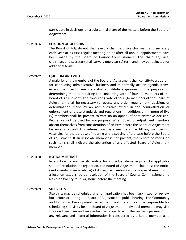participate in decisions on a substantial share of the matters before the Board of Adjustment.

## **1-02-03-06 ELECTION OF OFFICERS**

The Board of Adjustment shall elect a chairman, vice-chairman, and secretary each year at its first regular meeting on or after all annual appointments have been made by the Board of County Commissioners. The chairman, vicechairman, and secretary shall serve a one-year (1) term and may be reelected for additional terms.

### **1-02-03-07 QUORUM AND VOTE**

A majority of the members of the Board of Adjustment shall constitute a quorum for conducting administrative business and to formally act on agenda items, except that five (5) members shall constitute a quorum for the purposes of determining matters requiring the concurring vote of four (4) members of the Board of Adjustment. The concurring vote of four (4) members of the Board of Adjustment shall be necessary to reverse any order, requirement, decision, or determination made by an administrative officer in the administration or enforcement of these standards and regulations. In addition, a minimum of five (5) members shall be present to vote on an appeal of administrative decision. Proxies cannot be used for any purpose. When Board of Adjustment members absent themselves from consideration of an item before the Board of Adjustment because of a conflict of interest, associate members may fill any membership vacancies for the purpose of hearing and disposing of the case before the Board of Adjustment. If an associate member is not present, the record of voting on such items shall indicate the abstention of any affected Board of Adjustment member.

#### **1-02-03-08 NOTICE MEETINGS**

In addition to any specific notice for individual items required by applicable statute, resolution, or regulation, the Board of Adjustment shall post the notice (and agenda when available) of its regular meetings and any special meetings in a location established by resolution of the Board of County Commissioners no less than twenty-four (24) hours before the meeting.

## **1-02-03-09 SITE VISITS**

Site visits may be scheduled after an application has been submitted for review, but before or during the Board of Adjustment's public hearing. The Community and Economic Development Department, not the applicant, is responsible for scheduling site visits for the Board of Adjustment. Individual members may visit sites on their own and may enter the property with the owner's permission. If any relevant and material information is considered by a Board member as a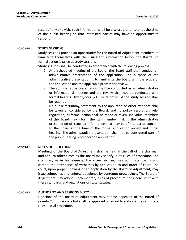result of any site visit, such information shall be disclosed prior to or at the time of the public hearing so that interested parties may have an opportunity to respond.

## **1-02-03-10 STUDY SESSIONS**

Study sessions provide an opportunity for the Board of Adjustment members to familiarize themselves with the issues and information before the Board. No formal action is taken at study sessions.

Study sessions shall be conducted in accordance with the following process:

- 1. At a scheduled meeting of the Board, the Board staff shall conduct an administrative presentation of the application. The purpose of the administrative presentation is to familiarize the Board with the scope of the application and the applicable process for review.
- 2. The administrative presentation shall be conducted as an administrative or informational meeting and the review shall not be conducted as a formal hearing. Twenty-four (24) hours notice of the study session shall be required.
- 3. No public testimony, statement by the applicant, or other evidence shall be taken or considered by the Board, and no policy, resolution, rule, regulation, or formal action shall be made or taken. Individual members of the Board may inform the staff member making the administrative presentation of issues or information that may be of interest or concern to the Board at the time of the formal application review and public hearing. The administrative presentation shall not be considered part of the public hearing record for the application.

## **1-02-03-11 RULES OF PROCEDURE**

Meetings of the Board of Adjustment shall be held at the call of the chairman and at such other times as the Board may specify in its rules of procedure. The chairman, or in his absence, the vice-chairman, may administer oaths and compel the attendance of witnesses by application to and order of court. The court, upon proper showing of an application by the Board of Adjustment, may issue subpoenas and enforce obedience by contempt proceedings. The Board of Adjustment may adopt supplementary rules of procedure not inconsistent with these standards and regulations or state statutes.

## **1-02-03-12 AUTHORITY AND RESPONSIBILITY**

Decisions of the Board of Adjustment may not be appealed to the Board of County Commissioners but shall be appealed pursuant to state statutes and state rules of civil procedure.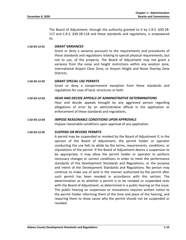The Board of Adjustment, through the authority granted to it by C.R.S. §30-28- 117 and C.R.S. §30-28-118 and these standards and regulations, is empowered to:

## **1-02-03-12-01** *GRANT VARIANCES*

Grant or deny a variance pursuant to the requirements and procedures of these standards and regulations relating to special physical requirements, but not to use, of the property. The Board of Adjustment may not grant a variance from the noise and height restrictions within any aviation zone, International Airport Clear Zone, or Airport Height and Noise Overlay Zone Districts.

## **1-02-03-12-02** *GRANT SPECIAL USE PERMITS*

Grant or deny a nonpermanent exception from these standards and regulations for uses of land, structures or both.

## **1-02-03-12-03** *HEAR AND DECIDE APPEALS OF ADMINISTRATIVE DETERMINATIONS*

Hear and decide appeals brought by any aggrieved person regarding allegations of error by an administrative official in the application or enforcement of these standards and regulations.

## **1-02-03-12-04** *IMPOSE REASONABLE CONDITIONS UPON APPROVALS*

Impose reasonable conditions upon approval of any application.

## **1-02-03-12-05** *SUSPEND OR REVOKE PERMITS*

A permit may be suspended or revoked by the Board of Adjustment if, in the opinion of the Board of Adjustment, the permit holder or operator conducting the use fails to abide by the terms, requirements, conditions, or stipulations of the permit. If the Board of Adjustment deems a suspension to be appropriate, it may allow the permit holder or operator to perform necessary changes or correct conditions in order to meet the performance standards of the Development Standards and Regulations, or the purpose and intent of the Development Standards and Regulations. No person may continue to make use of land in the manner authorized by the permit after such permit has been revoked in accordance with this section. The determination as to whether a permit is to be revoked or suspended rests with the Board of Adjustment, as determined in a public hearing on the issue. The public hearing on suspension or revocations requires written notice to the permit holder informing them of the time and place of the hearing, and requiring them to show cause why the permit should not be suspended or revoked.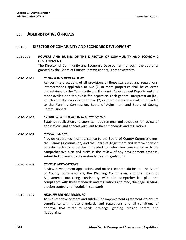## **1-03 ADMINISTRATIVE OFFICIALS**

## **1-03-01 DIRECTOR OF COMMUNITY AND ECONOMIC DEVELOPMENT**

## **1-03-01-01 POWERS AND DUTIES OF THE DIRECTOR OF COMMUNITY AND ECONOMIC DEVELOPMENT**

The Director of Community and Economic Development, through the authority granted by the Board of County Commissioners, is empowered to:

#### **1-03-01-01-01** *RENDER INTERPRETATIONS*

Render interpretations of all provisions of these standards and regulations. Interpretations applicable to two (2) or more properties shall be collected and retained by the Community and Economic Development Department and made available to the public for inspection. Each general interpretation (i.e., an interpretation applicable to two (2) or more properties) shall be provided to the Planning Commission, Board of Adjustment and Board of County Commissioners.

#### **1-03-01-01-02** *ESTABLISH APPLICATION REQUIREMENTS*

Establish application and submittal requirements and schedules for review of applications and appeals pursuant to these standards and regulations.

#### **1-03-01-01-03** *PROVIDE ADVICE*

Provide expert technical assistance to the Board of County Commissioners, the Planning Commission, and the Board of Adjustment and determine when outside, technical expertise is needed to determine consistency with the comprehensive plan and assist in the review of any development proposal submitted pursuant to these standards and regulations.

#### **1-03-01-01-04** *REVIEW APPLICATIONS*

Review development applications and make recommendations to the Board of County Commissioners, the Planning Commission, and the Board of Adjustment concerning consistency with the comprehensive plan and compliance with these standards and regulations and road, drainage, grading, erosion control and floodplain standards.

## **1-03-01-01-05** *ADMINISTER AGREEMENTS*

Administer development and subdivision improvement agreements to ensure compliance with these standards and regulations and all conditions of approval that relate to roads, drainage, grading, erosion control and floodplains.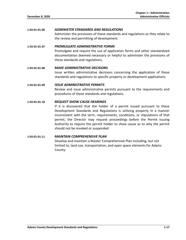## **1-03-01-01-06** *ADMINISTER STANDARDS AND REGULATIONS*

Administer the provisions of these standards and regulations as they relate to the review and permitting of development.

- **1-03-01-01-07** *PROMULGATE ADMINISTRATIVE FORMS* Promulgate and require the use of application forms and other standardized documentation deemed necessary or helpful to administer the provisions of these standards and regulations.
- **1-03-01-01-08** *MAKE ADMINISTRATIVE DECISIONS* Issue written administrative decisions concerning the application of these standards and regulations to specific property or development applications.
- **1-03-01-01-09** *ISSUE ADMINISTRATIVE PERMITS* Review and issue administrative permits pursuant to the requirements and procedures of these standards and regulations.

## **1-03-01-01-10** *REQUEST SHOW CAUSE HEARINGS*

If it is discovered that the holder of a permit issued pursuant to these Development Standards and Regulations is utilizing property in a manner inconsistent with the term, requirements, conditions, or stipulations of that permit, the Director may request proceedings before the Permit Issuing Authority to require the permit holder to show cause as to why the permit should not be revoked or suspended.

## **1-03-01-01-11** *MAINTAIN COMPREHENSIVE PLAN*

Develop and maintain a Master Comprehensive Plan including, but not limited to, land use, transportation, and open space elements for Adams County.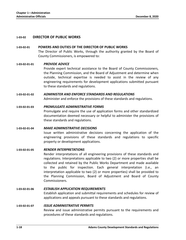## **1-03-02 DIRECTOR OF PUBLIC WORKS**

### **1-03-02-01 POWERS AND DUTIES OF THE DIRECTOR OF PUBLIC WORKS**

The Director of Public Works, through the authority granted by the Board of County Commissioners, is empowered to:

### **1-03-02-01-01** *PROVIDE ADVICE*

Provide expert technical assistance to the Board of County Commissioners, the Planning Commission, and the Board of Adjustment and determine when outside, technical expertise is needed to assist in the review of any engineering requirements for development applications submitted pursuant to these standards and regulations.

### **1-03-02-01-02** *ADMINISTER AND ENFORCE STANDARDS AND REGULATIONS*

Administer and enforce the provisions of these standards and regulations.

#### **1-03-02-01-03** *PROMULGATE ADMINISTRATIVE FORMS*

Promulgate and require the use of application forms and other standardized documentation deemed necessary or helpful to administer the provisions of these standards and regulations.

#### **1-03-02-01-04** *MAKE ADMINISTRATIVE DECISIONS*

Issue written administrative decisions concerning the application of the engineering provisions of these standards and regulations to specific property or development applications.

## **1-03-02-01-05** *RENDER INTERPRETATIONS*

Render interpretations of all engineering provisions of these standards and regulations. Interpretations applicable to two (2) or more properties shall be collected and retained by the Public Works Department and made available to the public for inspection. Each general interpretation (i.e., an interpretation applicable to two (2) or more properties) shall be provided to the Planning Commission, Board of Adjustment and Board of County Commissioners.

## **1-03-02-01-06** *ESTABLISH APPLICATION REQUIREMENTS*

Establish application and submittal requirements and schedules for review of applications and appeals pursuant to these standards and regulations.

#### **1-03-02-01-07** *ISSUE ADMINISTRATIVE PERMITS*

Review and issue administrative permits pursuant to the requirements and procedures of these standards and regulations.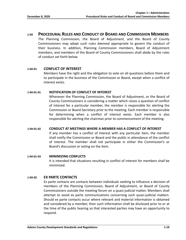## **1-04 PROCEDURAL RULES AND CONDUCT OF BOARD AND COMMISSION MEMBERS**

The Planning Commission, the Board of Adjustment, and the Board of County Commissioners may adopt such rules deemed appropriate to govern the conduct of their business. In addition, Planning Commission members, Board of Adjustment members, and members of the Board of County Commissioners shall abide by the rules of conduct set forth below.

## **1-04-01 CONFLICT OF INTEREST**

Members have the right and the obligation to vote on all questions before them and to participate in the business of the Commission or Board, except when a conflict of interest exists.

## **1-04-01-01 NOTIFICATION OF CONFLICT OF INTEREST**

Whenever the Planning Commission, the Board of Adjustment, or the Board of County Commissioners is considering a matter which raises a question of conflict of interest for a particular member, the member is responsible for alerting the Commission or Board Secretary prior to the meeting. Each member is responsible for determining when a conflict of interest exists. Each member is also responsible for alerting the chairman prior to commencement of the meeting.

## **1-04-01-02 CONDUCT AT MEETINGS WHERE A MEMBER HAS A CONFLICT OF INTEREST**

If any member has a conflict of interest with any particular item, the member shall notify the Commission or Board and the public in attendance of the conflict of interest. The member shall not participate in either the Commission's or Board's discussion or voting on the item.

## **1-04-01-03 MINIMIZING CONFLICTS**

It is intended that situations resulting in conflict of interest for members shall be minimized.

## **1-04-02 EX PARTE CONTACTS**

Ex parte contacts are contacts between individuals seeking to influence a decision of members of the Planning Commission, Board of Adjustment, or Board of County Commissioners outside the meeting forum on a quasi-judicial matter. Members shall attempt to avoid ex parte communications concerning such quasi-judicial matters. Should ex parte contacts occur where relevant and material information is obtained and considered by a member, then such information shall be disclosed prior to or at the time of the public hearing so that interested parties may have an opportunity to respond.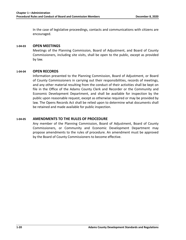In the case of legislative proceedings, contacts and communications with citizens are encouraged.

## **1-04-03 OPEN MEETINGS**

Meetings of the Planning Commission, Board of Adjustment, and Board of County Commissioners, including site visits, shall be open to the public, except as provided by law.

## **1-04-04 OPEN RECORDS**

Information presented to the Planning Commission, Board of Adjustment, or Board of County Commissioners in carrying out their responsibilities, records of meetings, and any other material resulting from the conduct of their activities shall be kept on file in the Office of the Adams County Clerk and Recorder or the Community and Economic Development Department, and shall be available for inspection by the public upon reasonable request, except as otherwise required or may be provided by law. The Opens Records Act shall be relied upon to determine what documents shall be retained and made available for public inspection.

## **1-04-05 AMENDMENTS TO THE RULES OF PROCEDURE**

Any member of the Planning Commission, Board of Adjustment, Board of County Commissioners, or Community and Economic Development Department may propose amendments to the rules of procedure. An amendment must be approved by the Board of County Commissioners to become effective.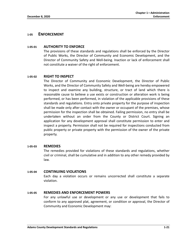## **1-05 ENFORCEMENT**

## **1-05-01 AUTHORITY TO ENFORCE**

The provisions of these standards and regulations shall be enforced by the Director of Public Works, the Director of Community and Economic Development, and the Director of Community Safety and Well-being. Inaction or lack of enforcement shall not constitute a waiver of the right of enforcement.

## **1-05-02 RIGHT TO INSPECT**

The Director of Community and Economic Development, the Director of Public Works, and the Director of Community Safety and Well-being are hereby empowered to inspect and examine any building, structure, or tract of land which there is reasonable cause to believe a use exists or construction or alteration work is being performed, or has been performed, in violation of the applicable provisions of these standards and regulations. Entry onto private property for the purpose of inspection shall be made only after contact with the owner or occupant of the premises, whose permission for the inspection shall be obtained. Failing permission, no entry shall be undertaken without an order from the County or District Court. Signing an application for any development approval shall constitute permission to enter and inspect a property. Permission shall not be required for inspections conducted from public property or private property with the permission of the owner of the private property.

## **1-05-03 REMEDIES**

The remedies provided for violations of these standards and regulations, whether civil or criminal, shall be cumulative and in addition to any other remedy provided by law.

## **1-05-04 CONTINUING VIOLATIONS**

Each day a violation occurs or remains uncorrected shall constitute a separate violation.

## **1-05-05 REMEDIES AND ENFORCEMENT POWERS**

For any unlawful use or development or any use or development that fails to conform to any approved plat, agreement, or condition or approval, the Director of Community and Economic Development may: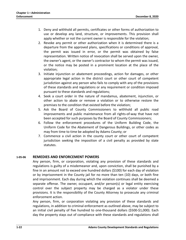- 1. Deny and withhold all permits, certificates or other forms of authorization to use or develop any land, structure, or improvements. This provision shall apply whether or not the current owner is responsible for the violation;
- 2. Revoke any permit or other authorization when it is determined there is a departure from the approved plans, specifications or conditions of approval, the permit was issued in error, or the permit was obtained by false representation. Written notice of revocation shall be served upon the owner, the owner's agent, or the owner's contractor to whom the permit was issued, or the notice may be posted in a prominent location at the place of the violation;
- 3. Initiate injunction or abatement proceedings, action for damages, or other appropriate legal action in the district court or other court of competent jurisdiction against any person who fails to comply with any of the provisions of these standards and regulations or any requirement or condition imposed pursuant to these standards and regulations;
- 4. Seek a court order in the nature of mandamus, abatement, injunction, or other action to abate or remove a violation or to otherwise restore the premises to the condition that existed before the violation;
- 5. Ask the Board of County Commissioners to withhold all public road improvements and public maintenance from all rights-of-way that have not been accepted for such purposes by the Board of County Commissioners;
- 6. Follow the enforcement procedures of the Uniform Building Code, the Uniform Code for the Abatement of Dangerous Buildings, or other codes as may from time to time be adopted by Adams County; or
- 7. Commence a civil action in the county court or other court of competent jurisdiction seeking the imposition of a civil penalty as provided by state statutes.

## **1-05-06 REMEDIES AND ENFORCEMENT POWERS**

Any person, firm, or corporation, violating any provision of these standards and regulations is guilty of a misdemeanor and, upon conviction, shall be punished by a fine in an amount not to exceed one hundred dollars (\$100) for each day of violation or by imprisonment in the County jail for no more than ten (10) days, or both fine and imprisonment. Each day during which the violation continues shall be deemed a separate offense. The owner, occupant, and/or person(s) or legal entity exercising control over the subject property may be charged as a violator under these provisions. It is the responsibility of the County Attorney to prosecute any criminal enforcement action.

Any person, firm, or corporation violating any provision of these standards and regulations, in addition to criminal enforcement as outlined above, may be subject to an initial civil penalty of five hundred to one-thousand dollars (\$500-\$1,000). Each day the property stays out of compliance with these standards and regulations shall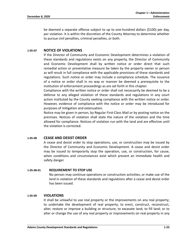be deemed a separate offense subject to up to one-hundred dollars (\$100) per day, per violation. It is within the discretion of the County Attorney to determine whether to pursue civil penalties, criminal penalties, or both.

## **1-05-07 NOTICE OF VIOLATIONS**

If the Director of Community and Economic Development determines a violation of these standards and regulations exists on any property, the Director of Community and Economic Development shall by written notice or order direct that such remedial action or preventative measure be taken by the property owner or person as will result in full compliance with the applicable provisions of these standards and regulations. Such notice or order may include a compliance schedule. The issuance of a notice or order shall in no way or manner be deemed a prerequisite to the institution of enforcement proceedings as are set forth in this chapter.

Compliance with the written notice or order shall not necessarily be deemed to be a defense to any alleged violation of these standards and regulations in any court action instituted by the County seeking compliance with the written notice or order. However, evidence of compliance with the notice or order may be introduced for purposes of mitigation and extenuation.

Notice may be given in person, by Regular First-Class Mail or by posting notice on the premises. Notices of violation shall state the nature of the violation and the time allowed for compliance. Notices of violation run with the land and are effective until the violation is corrected.

## **1-05-08 CEASE AND DESIST ORDER**

A cease and desist order to stop operations, use, or construction may be issued by the Director of Community and Economic Development. A cease and desist order may be issued to temporarily stop the operation, use, or construction, for cause, when conditions and circumstances exist which present an immediate health and safety danger.

## **1-05-08-01 REQUIREMENT TO STOP USE**

No person may continue operations or construction activities, or make use of the land in violation of these standards and regulations after a cease and desist order has been issued.

## **1-05-09 VIOLATIONS**

It shall be unlawful to use real property or the improvements on any real property; to undertake the development of real property; to erect, construct, reconstruct, alter, restore or improve a building or structure; to excavate land; to fill land; or to alter or change the use of any real property or improvements on real property in any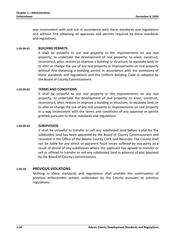way inconsistent with and not in accordance with these standards and regulations and without first obtaining all approvals and permits required by these standards and regulations.

## **1-05-09-01 BUILDING PERMITS**

It shall be unlawful to use real property or the improvements on any real property; to undertake the development of real property; to erect, construct, reconstruct, alter, restore or improve a building or structure; to excavate land; or to alter or change the use of any real property or improvements on real property without first obtaining a building permit in accordance with the provisions of these standards and regulations and the Uniform Building Code as adopted by the Board of County Commissioners.

## **1-05-09-02 TERMS AND CONDITIONS**

It shall be unlawful to use real property or the improvements on any real property; to undertake the development of real property; to erect, construct, reconstruct, alter, restore or improve a building or structure; to excavate land; or to alter or change the use of any real property or improvements on real property in a way inconsistent with the terms and conditions of any approval or permit granted pursuant to these standards and regulations.

#### **1-05-09-03 SUBDIVISION**

It shall be unlawful to transfer or sell any subdivided land before a plat for the subdivided land has been approved by the Board of County Commissioners and recorded in the Office of the Adams County Clerk and Recorder. The County shall not be liable for any direct or apparent fiscal losses suffered by any party as a result of denial of any subdivision where the applicant has agreed to transfer or sell or offered to transfer or sell any subdivided land in advance of plat approval by the Board of County Commissioners.

## **1-05-10 PREVIOUS VIOLATIONS**

Nothing in these standards and regulations shall prohibit the continuation of previous enforcement actions undertaken by the County pursuant to previous regulations.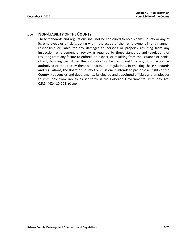## **1-06 NON-LIABILITY OF THE COUNTY**

These standards and regulations shall not be construed to hold Adams County or any of its employees or officials, acting within the scope of their employment in any manner, responsible or liable for any damages to persons or property resulting from any inspection, enforcement or review as required by these standards and regulations or resulting from any failure to enforce or inspect, or resulting from the issuance or denial of any building permit, or the institution or failure to institute any court action as authorized or required by these standards and regulations. In enacting these standards and regulations, the Board of County Commissioners intends to preserve all rights of the County, its agencies and departments, its elected and appointed officials and employees to immunity from liability as set forth in the Colorado Governmental Immunity Act, C.R.S. §§24-10-101, *et seq*.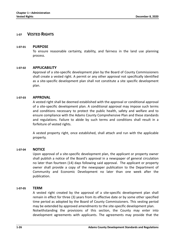## **1-07 VESTED RIGHTS**

## **1-07-01 PURPOSE**

To ensure reasonable certainty, stability, and fairness in the land use planning process.

## **1-07-02 APPLICABILITY**

Approval of a site-specific development plan by the Board of County Commissioners shall create a vested right. A permit or any other approval not specifically identified as a site-specific development plan shall not constitute a site specific development plan.

### **1-07-03 APPROVAL**

A vested right shall be deemed established with the approval or conditional approval of a site-specific development plan. A conditional approval may impose such terms and conditions necessary to protect the public health, safety and welfare and to ensure compliance with the Adams County Comprehensive Plan and these standards and regulations. Failure to abide by such terms and conditions shall result in a forfeiture of vested rights.

A vested property right, once established, shall attach and run with the applicable property.

#### **1-07-04 NOTICE**

Upon approval of a site-specific development plan, the applicant or property owner shall publish a notice of the Board's approval in a newspaper of general circulation no later than fourteen (14) days following said approval. The applicant or property owner shall provide a copy of the newspaper publication to the Department of Community and Economic Development no later than one week after the publication.

#### **1-07-05 TERM**

A vested right created by the approval of a site-specific development plan shall remain in effect for three (3) years from its effective date or by some other specified time period as adopted by the Board of County Commissioners. This vesting period may be extended by approved amendments to the site-specific development plan. Notwithstanding the provisions of this section, the County may enter into development agreements with applicants. The agreements may provide that the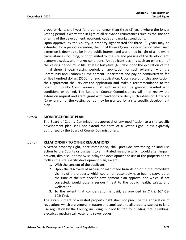property rights shall vest for a period longer than three (3) years where the longer vesting period is warranted in light of all relevant circumstances such as the size and phasing of the development, economic cycles and market conditions.

Upon approval by the County, a property right vested for three (3) years may be extended for a period exceeding the initial three (3)-year vesting period when such extension is deemed to be in the public interest and warranted in light of all relevant circumstances including, but not limited to, the size and phasing of the development, economic cycles, and market conditions. An applicant desiring such an extension of the vesting period must file, at least forty-five (45) days prior the expiration of the initial three (3)-year vesting period, an application for such extension with the Community and Economic Development Department and pay an administrative fee of five hundred dollars (\$500) for such application. Upon receipt of this application, the Department shall review the application and make a recommendation to the Board of County Commissioners that such extension be granted, granted with conditions or denied. The Board of County Commissioners will then review the extension request and grant, grant with conditions or deny such extension. Only one (1) extension of the vesting period may be granted for a site-specific development plan.

## **1-07-06 MODIFICATION OF PLAN**

The Board of County Commissioners approval of any modification to a site-specific development plan shall not extend the term of a vested right unless expressly authorized by the Board of County Commissioners.

## **1-07-07 RELATIONSHIP TO OTHER REGULATIONS**

A vested property right, once established, shall preclude any zoning or land use action by the County or pursuant to an initiated measure which would alter, impair, prevent, diminish, or otherwise delay the development or use of the property as set forth in the site specific development plan, except:

- 1. With the consent of the applicant;
- 2. Upon the discovery of natural or man-made hazards on or in the immediate vicinity of the property which could not reasonably have been discovered at the time of the site specific development plan approval and which, if not corrected, would pose a serious threat to the public health, safety, and welfare; or
- 3. To the extent that compensation is paid, as provided in C.R.S. §24-68-  $105(1)(c)$ .

The establishment of a vested property right shall not preclude the application of regulations which are general in nature and applicable to all property subject to land use regulation by the County, including, but not limited to, building, fire, plumbing, electrical, mechanical, water and sewer codes.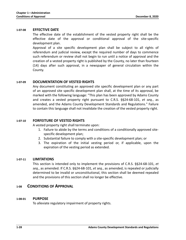## **1-07-08 EFFECTIVE DATE**

The effective date of the establishment of the vested property right shall be the effective date of the approval or conditional approval of the site-specific development plan.

Approval of a site specific development plan shall be subject to all rights of referendum and judicial review, except the required number of days to commence such referendum or review shall not begin to run until a notice of approval and the creation of a vested property right is published by the County, no later than fourteen (14) days after such approval, in a newspaper of general circulation within the County.

## **1-07-09 DOCUMENTATION OF VESTED RIGHTS**

Any document constituting an approved site specific development plan or any part of an approved site specific development plan shall, at the time of its approval, be marked with the following language: "This plan has been approved by Adams County and creates a vested property right pursuant to C.R.S. §§24-68-101, *et seq.*, as amended, and the Adams County Development Standards and Regulations." Failure to contain this language shall not invalidate the creation of the vested property right.

## **1-07-10 FORFEITURE OF VESTED RIGHTS**

A vested property right shall terminate upon:

- 1. Failure to abide by the terms and conditions of a conditionally approved sitespecific development plan;
- 2. Substantial failure to comply with a site-specific development plan; or
- 3. The expiration of the initial vesting period or, if applicable, upon the expiration of the vesting period as extended.

## **1-07-11 LIMITATIONS**

This section is intended only to implement the provisions of C.R.S. §§24-68-101, *et seq*., as amended. If C.R.S. §§24-68-101, *et seq*., as amended, is repealed or judicially determined to be invalid or unconstitutional, this section shall be deemed repealed and the provisions of this section shall no longer be effective.

## **1-08 CONDITIONS OF APPROVAL**

## **1-08-01 PURPOSE**

To alleviate regulatory impairment of property rights.